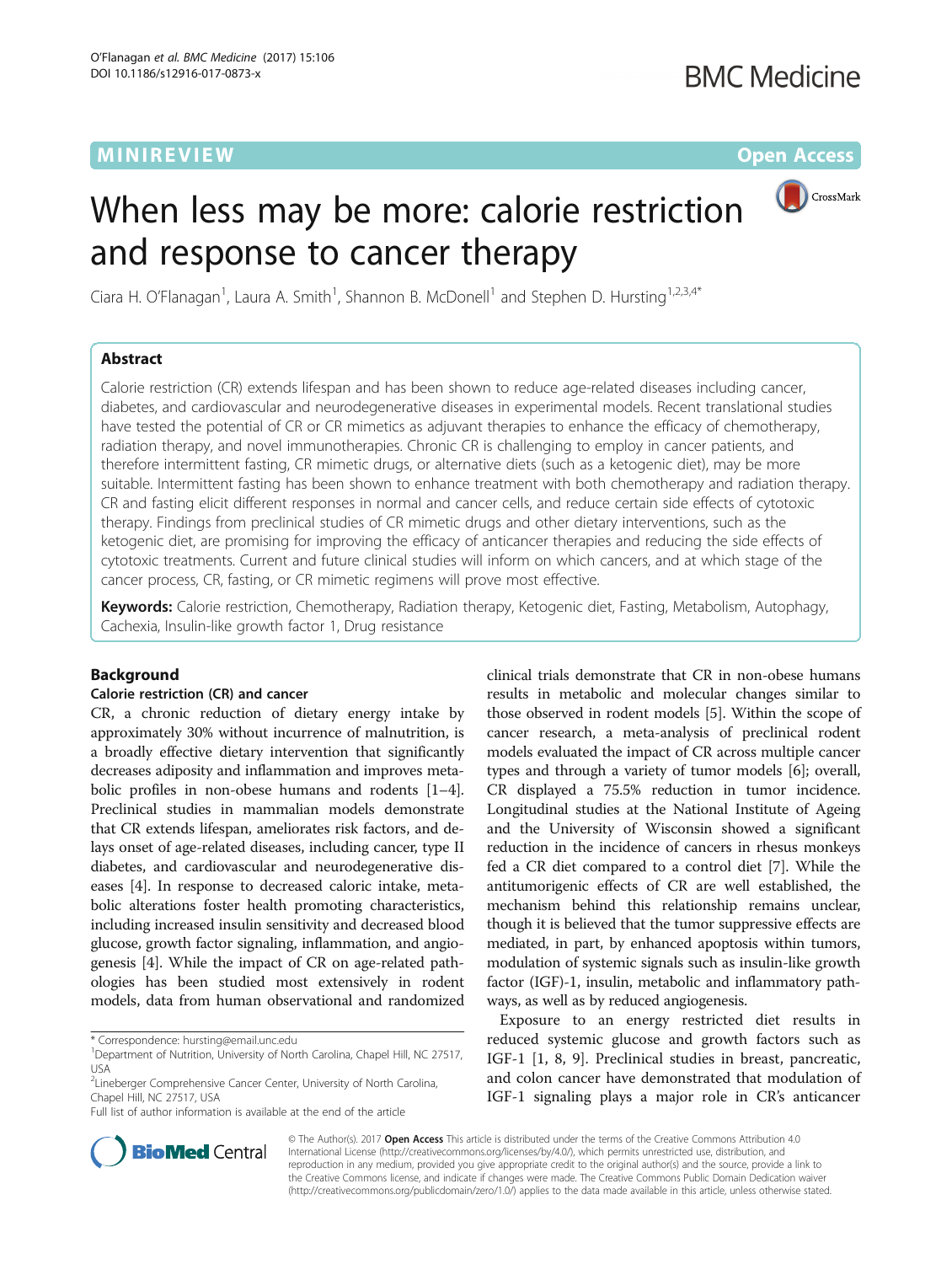## **MINIREVIEW CONTROL**

# When less may be more: calorie restriction and response to cancer therapy



Ciara H. O'Flanagan<sup>1</sup>, Laura A. Smith<sup>1</sup>, Shannon B. McDonell<sup>1</sup> and Stephen D. Hursting<sup>1,2,3,4\*</sup>

## Abstract

Calorie restriction (CR) extends lifespan and has been shown to reduce age-related diseases including cancer, diabetes, and cardiovascular and neurodegenerative diseases in experimental models. Recent translational studies have tested the potential of CR or CR mimetics as adjuvant therapies to enhance the efficacy of chemotherapy, radiation therapy, and novel immunotherapies. Chronic CR is challenging to employ in cancer patients, and therefore intermittent fasting, CR mimetic drugs, or alternative diets (such as a ketogenic diet), may be more suitable. Intermittent fasting has been shown to enhance treatment with both chemotherapy and radiation therapy. CR and fasting elicit different responses in normal and cancer cells, and reduce certain side effects of cytotoxic therapy. Findings from preclinical studies of CR mimetic drugs and other dietary interventions, such as the ketogenic diet, are promising for improving the efficacy of anticancer therapies and reducing the side effects of cytotoxic treatments. Current and future clinical studies will inform on which cancers, and at which stage of the cancer process, CR, fasting, or CR mimetic regimens will prove most effective.

Keywords: Calorie restriction, Chemotherapy, Radiation therapy, Ketogenic diet, Fasting, Metabolism, Autophagy, Cachexia, Insulin-like growth factor 1, Drug resistance

## Background

## Calorie restriction (CR) and cancer

CR, a chronic reduction of dietary energy intake by approximately 30% without incurrence of malnutrition, is a broadly effective dietary intervention that significantly decreases adiposity and inflammation and improves metabolic profiles in non-obese humans and rodents [[1](#page-6-0)–[4](#page-6-0)]. Preclinical studies in mammalian models demonstrate that CR extends lifespan, ameliorates risk factors, and delays onset of age-related diseases, including cancer, type II diabetes, and cardiovascular and neurodegenerative diseases [\[4](#page-6-0)]. In response to decreased caloric intake, metabolic alterations foster health promoting characteristics, including increased insulin sensitivity and decreased blood glucose, growth factor signaling, inflammation, and angiogenesis [[4\]](#page-6-0). While the impact of CR on age-related pathologies has been studied most extensively in rodent models, data from human observational and randomized

\* Correspondence: [hursting@email.unc.edu](mailto:hursting@email.unc.edu) <sup>1</sup>

Full list of author information is available at the end of the article

clinical trials demonstrate that CR in non-obese humans results in metabolic and molecular changes similar to those observed in rodent models [\[5](#page-6-0)]. Within the scope of cancer research, a meta-analysis of preclinical rodent models evaluated the impact of CR across multiple cancer types and through a variety of tumor models [\[6](#page-6-0)]; overall, CR displayed a 75.5% reduction in tumor incidence. Longitudinal studies at the National Institute of Ageing and the University of Wisconsin showed a significant reduction in the incidence of cancers in rhesus monkeys fed a CR diet compared to a control diet [[7](#page-6-0)]. While the antitumorigenic effects of CR are well established, the mechanism behind this relationship remains unclear, though it is believed that the tumor suppressive effects are mediated, in part, by enhanced apoptosis within tumors, modulation of systemic signals such as insulin-like growth factor (IGF)-1, insulin, metabolic and inflammatory pathways, as well as by reduced angiogenesis.

Exposure to an energy restricted diet results in reduced systemic glucose and growth factors such as IGF-1 [\[1, 8](#page-6-0), [9](#page-6-0)]. Preclinical studies in breast, pancreatic, and colon cancer have demonstrated that modulation of IGF-1 signaling plays a major role in CR's anticancer



© The Author(s). 2017 **Open Access** This article is distributed under the terms of the Creative Commons Attribution 4.0 International License [\(http://creativecommons.org/licenses/by/4.0/](http://creativecommons.org/licenses/by/4.0/)), which permits unrestricted use, distribution, and reproduction in any medium, provided you give appropriate credit to the original author(s) and the source, provide a link to the Creative Commons license, and indicate if changes were made. The Creative Commons Public Domain Dedication waiver [\(http://creativecommons.org/publicdomain/zero/1.0/](http://creativecommons.org/publicdomain/zero/1.0/)) applies to the data made available in this article, unless otherwise stated.

<sup>&</sup>lt;sup>1</sup>Department of Nutrition, University of North Carolina, Chapel Hill, NC 27517, USA

<sup>&</sup>lt;sup>2</sup> Lineberger Comprehensive Cancer Center, University of North Carolina, Chapel Hill, NC 27517, USA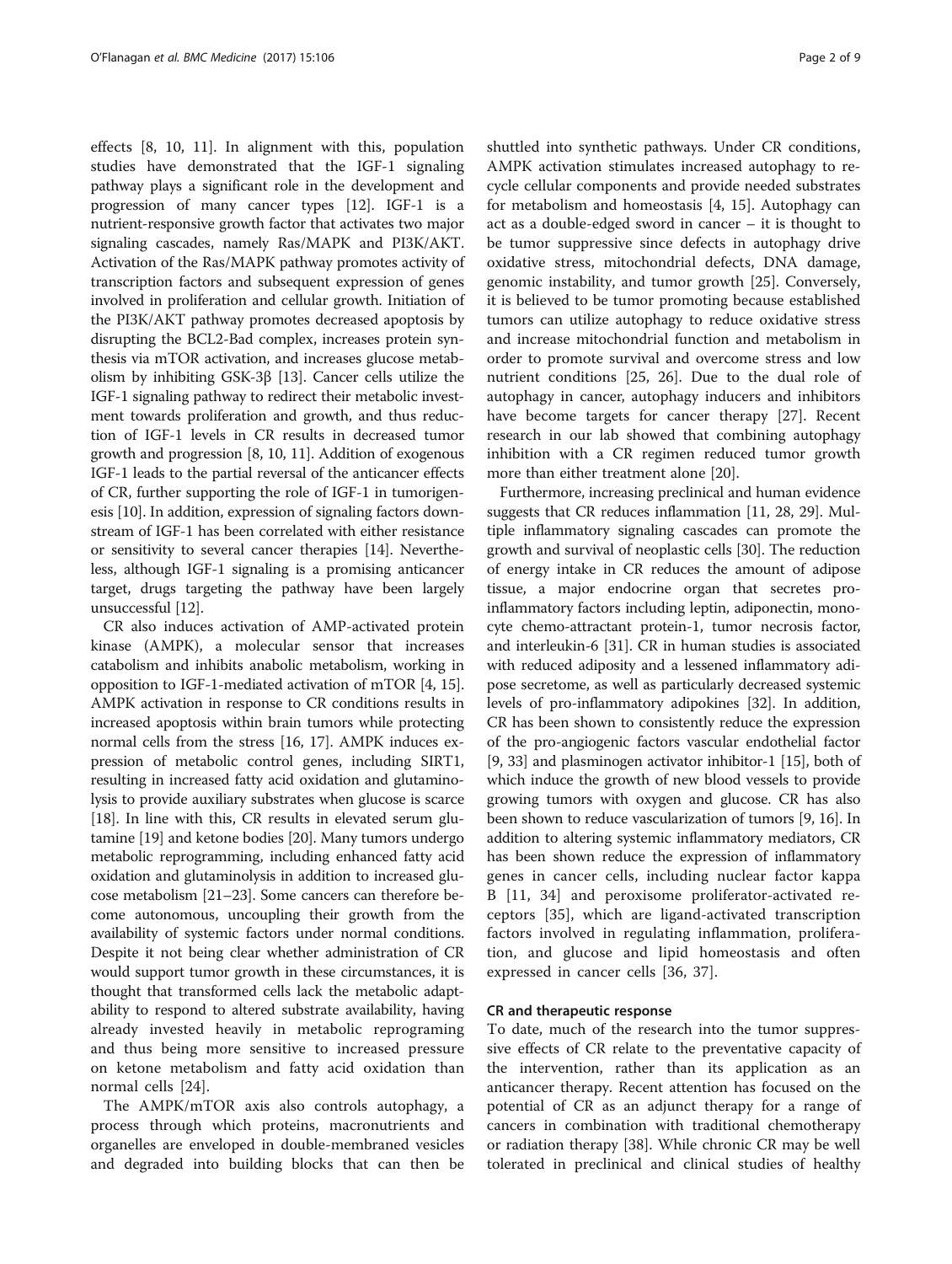effects [\[8](#page-6-0), [10](#page-6-0), [11](#page-6-0)]. In alignment with this, population studies have demonstrated that the IGF-1 signaling pathway plays a significant role in the development and progression of many cancer types [\[12](#page-6-0)]. IGF-1 is a nutrient-responsive growth factor that activates two major signaling cascades, namely Ras/MAPK and PI3K/AKT. Activation of the Ras/MAPK pathway promotes activity of transcription factors and subsequent expression of genes involved in proliferation and cellular growth. Initiation of the PI3K/AKT pathway promotes decreased apoptosis by disrupting the BCL2-Bad complex, increases protein synthesis via mTOR activation, and increases glucose metabolism by inhibiting GSK-3β [\[13\]](#page-6-0). Cancer cells utilize the IGF-1 signaling pathway to redirect their metabolic investment towards proliferation and growth, and thus reduction of IGF-1 levels in CR results in decreased tumor growth and progression [[8](#page-6-0), [10, 11](#page-6-0)]. Addition of exogenous IGF-1 leads to the partial reversal of the anticancer effects of CR, further supporting the role of IGF-1 in tumorigenesis [\[10](#page-6-0)]. In addition, expression of signaling factors downstream of IGF-1 has been correlated with either resistance or sensitivity to several cancer therapies [\[14\]](#page-6-0). Nevertheless, although IGF-1 signaling is a promising anticancer target, drugs targeting the pathway have been largely unsuccessful [[12](#page-6-0)].

CR also induces activation of AMP-activated protein kinase (AMPK), a molecular sensor that increases catabolism and inhibits anabolic metabolism, working in opposition to IGF-1-mediated activation of mTOR [\[4, 15](#page-6-0)]. AMPK activation in response to CR conditions results in increased apoptosis within brain tumors while protecting normal cells from the stress [\[16, 17](#page-6-0)]. AMPK induces expression of metabolic control genes, including SIRT1, resulting in increased fatty acid oxidation and glutaminolysis to provide auxiliary substrates when glucose is scarce [[18](#page-6-0)]. In line with this, CR results in elevated serum glutamine [[19\]](#page-6-0) and ketone bodies [\[20\]](#page-6-0). Many tumors undergo metabolic reprogramming, including enhanced fatty acid oxidation and glutaminolysis in addition to increased glucose metabolism [[21](#page-6-0)–[23\]](#page-6-0). Some cancers can therefore become autonomous, uncoupling their growth from the availability of systemic factors under normal conditions. Despite it not being clear whether administration of CR would support tumor growth in these circumstances, it is thought that transformed cells lack the metabolic adaptability to respond to altered substrate availability, having already invested heavily in metabolic reprograming and thus being more sensitive to increased pressure on ketone metabolism and fatty acid oxidation than normal cells [[24\]](#page-7-0).

The AMPK/mTOR axis also controls autophagy, a process through which proteins, macronutrients and organelles are enveloped in double-membraned vesicles and degraded into building blocks that can then be

shuttled into synthetic pathways. Under CR conditions, AMPK activation stimulates increased autophagy to recycle cellular components and provide needed substrates for metabolism and homeostasis [[4](#page-6-0), [15](#page-6-0)]. Autophagy can act as a double-edged sword in cancer – it is thought to be tumor suppressive since defects in autophagy drive oxidative stress, mitochondrial defects, DNA damage, genomic instability, and tumor growth [[25](#page-7-0)]. Conversely, it is believed to be tumor promoting because established tumors can utilize autophagy to reduce oxidative stress and increase mitochondrial function and metabolism in order to promote survival and overcome stress and low nutrient conditions [[25](#page-7-0), [26\]](#page-7-0). Due to the dual role of autophagy in cancer, autophagy inducers and inhibitors have become targets for cancer therapy [[27](#page-7-0)]. Recent research in our lab showed that combining autophagy inhibition with a CR regimen reduced tumor growth more than either treatment alone [[20](#page-6-0)].

Furthermore, increasing preclinical and human evidence suggests that CR reduces inflammation [\[11,](#page-6-0) [28, 29\]](#page-7-0). Multiple inflammatory signaling cascades can promote the growth and survival of neoplastic cells [[30](#page-7-0)]. The reduction of energy intake in CR reduces the amount of adipose tissue, a major endocrine organ that secretes proinflammatory factors including leptin, adiponectin, monocyte chemo-attractant protein-1, tumor necrosis factor, and interleukin-6 [\[31\]](#page-7-0). CR in human studies is associated with reduced adiposity and a lessened inflammatory adipose secretome, as well as particularly decreased systemic levels of pro-inflammatory adipokines [\[32](#page-7-0)]. In addition, CR has been shown to consistently reduce the expression of the pro-angiogenic factors vascular endothelial factor [[9,](#page-6-0) [33](#page-7-0)] and plasminogen activator inhibitor-1 [[15](#page-6-0)], both of which induce the growth of new blood vessels to provide growing tumors with oxygen and glucose. CR has also been shown to reduce vascularization of tumors [[9, 16](#page-6-0)]. In addition to altering systemic inflammatory mediators, CR has been shown reduce the expression of inflammatory genes in cancer cells, including nuclear factor kappa B [[11,](#page-6-0) [34](#page-7-0)] and peroxisome proliferator-activated receptors [[35\]](#page-7-0), which are ligand-activated transcription factors involved in regulating inflammation, proliferation, and glucose and lipid homeostasis and often expressed in cancer cells [[36, 37\]](#page-7-0).

### CR and therapeutic response

To date, much of the research into the tumor suppressive effects of CR relate to the preventative capacity of the intervention, rather than its application as an anticancer therapy. Recent attention has focused on the potential of CR as an adjunct therapy for a range of cancers in combination with traditional chemotherapy or radiation therapy [\[38](#page-7-0)]. While chronic CR may be well tolerated in preclinical and clinical studies of healthy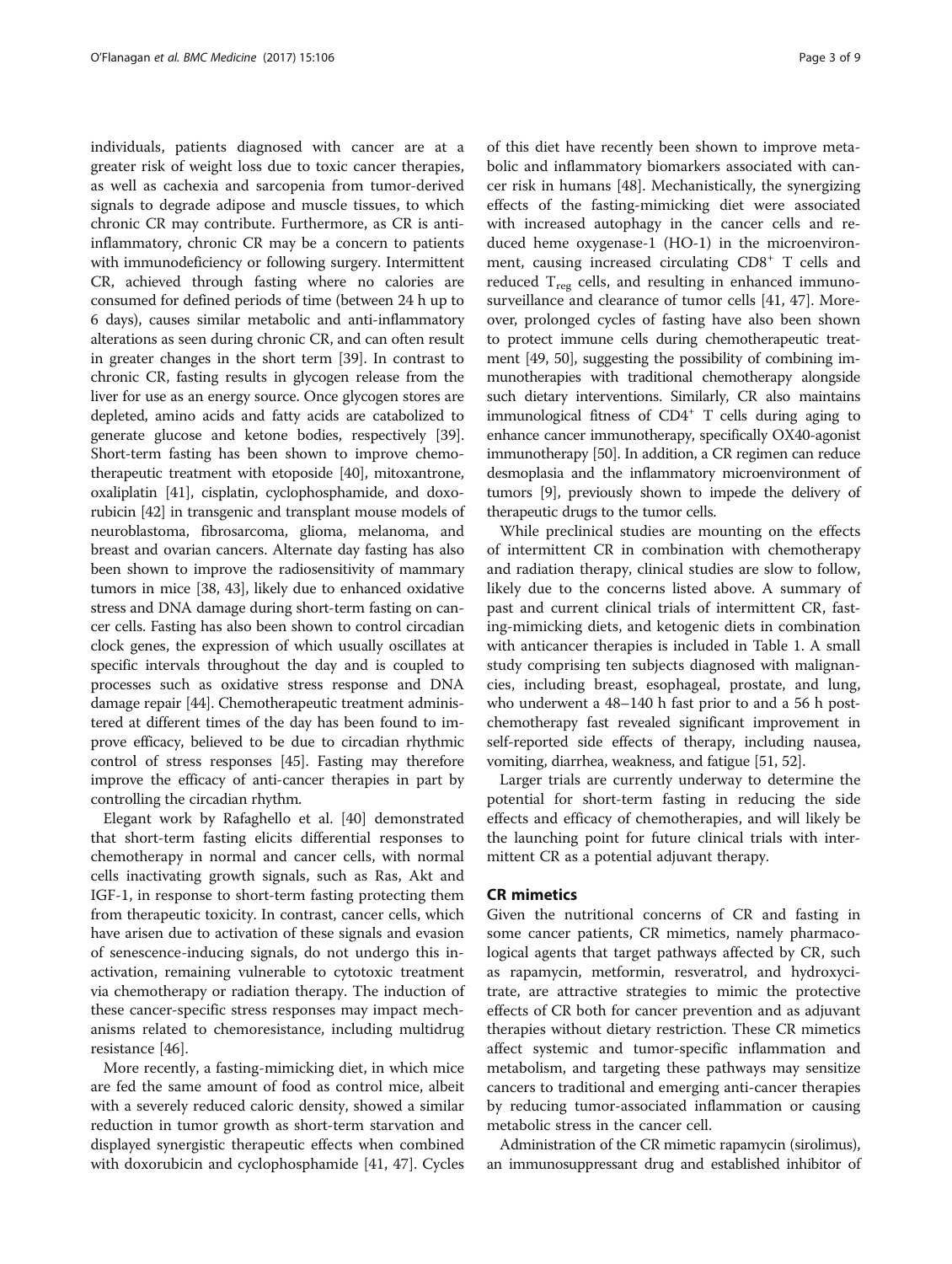individuals, patients diagnosed with cancer are at a greater risk of weight loss due to toxic cancer therapies, as well as cachexia and sarcopenia from tumor-derived signals to degrade adipose and muscle tissues, to which chronic CR may contribute. Furthermore, as CR is antiinflammatory, chronic CR may be a concern to patients with immunodeficiency or following surgery. Intermittent CR, achieved through fasting where no calories are consumed for defined periods of time (between 24 h up to 6 days), causes similar metabolic and anti-inflammatory alterations as seen during chronic CR, and can often result in greater changes in the short term [[39](#page-7-0)]. In contrast to chronic CR, fasting results in glycogen release from the liver for use as an energy source. Once glycogen stores are depleted, amino acids and fatty acids are catabolized to generate glucose and ketone bodies, respectively [[39](#page-7-0)]. Short-term fasting has been shown to improve chemotherapeutic treatment with etoposide [\[40](#page-7-0)], mitoxantrone, oxaliplatin [\[41](#page-7-0)], cisplatin, cyclophosphamide, and doxorubicin [\[42\]](#page-7-0) in transgenic and transplant mouse models of neuroblastoma, fibrosarcoma, glioma, melanoma, and breast and ovarian cancers. Alternate day fasting has also been shown to improve the radiosensitivity of mammary tumors in mice [[38](#page-7-0), [43](#page-7-0)], likely due to enhanced oxidative stress and DNA damage during short-term fasting on cancer cells. Fasting has also been shown to control circadian clock genes, the expression of which usually oscillates at specific intervals throughout the day and is coupled to processes such as oxidative stress response and DNA damage repair [\[44\]](#page-7-0). Chemotherapeutic treatment administered at different times of the day has been found to improve efficacy, believed to be due to circadian rhythmic control of stress responses [\[45](#page-7-0)]. Fasting may therefore improve the efficacy of anti-cancer therapies in part by controlling the circadian rhythm.

Elegant work by Rafaghello et al. [[40](#page-7-0)] demonstrated that short-term fasting elicits differential responses to chemotherapy in normal and cancer cells, with normal cells inactivating growth signals, such as Ras, Akt and IGF-1, in response to short-term fasting protecting them from therapeutic toxicity. In contrast, cancer cells, which have arisen due to activation of these signals and evasion of senescence-inducing signals, do not undergo this inactivation, remaining vulnerable to cytotoxic treatment via chemotherapy or radiation therapy. The induction of these cancer-specific stress responses may impact mechanisms related to chemoresistance, including multidrug resistance [[46\]](#page-7-0).

More recently, a fasting-mimicking diet, in which mice are fed the same amount of food as control mice, albeit with a severely reduced caloric density, showed a similar reduction in tumor growth as short-term starvation and displayed synergistic therapeutic effects when combined with doxorubicin and cyclophosphamide [[41, 47\]](#page-7-0). Cycles

of this diet have recently been shown to improve metabolic and inflammatory biomarkers associated with cancer risk in humans [\[48\]](#page-7-0). Mechanistically, the synergizing effects of the fasting-mimicking diet were associated with increased autophagy in the cancer cells and reduced heme oxygenase-1 (HO-1) in the microenvironment, causing increased circulating CD8<sup>+</sup> T cells and reduced  $T_{\text{reg}}$  cells, and resulting in enhanced immunosurveillance and clearance of tumor cells [\[41](#page-7-0), [47](#page-7-0)]. Moreover, prolonged cycles of fasting have also been shown to protect immune cells during chemotherapeutic treatment [[49](#page-7-0), [50](#page-7-0)], suggesting the possibility of combining immunotherapies with traditional chemotherapy alongside such dietary interventions. Similarly, CR also maintains immunological fitness of  $CD4^+$  T cells during aging to enhance cancer immunotherapy, specifically OX40-agonist immunotherapy [[50](#page-7-0)]. In addition, a CR regimen can reduce desmoplasia and the inflammatory microenvironment of tumors [\[9\]](#page-6-0), previously shown to impede the delivery of therapeutic drugs to the tumor cells.

While preclinical studies are mounting on the effects of intermittent CR in combination with chemotherapy and radiation therapy, clinical studies are slow to follow, likely due to the concerns listed above. A summary of past and current clinical trials of intermittent CR, fasting-mimicking diets, and ketogenic diets in combination with anticancer therapies is included in Table [1](#page-3-0). A small study comprising ten subjects diagnosed with malignancies, including breast, esophageal, prostate, and lung, who underwent a 48–140 h fast prior to and a 56 h postchemotherapy fast revealed significant improvement in self-reported side effects of therapy, including nausea, vomiting, diarrhea, weakness, and fatigue [\[51, 52\]](#page-7-0).

Larger trials are currently underway to determine the potential for short-term fasting in reducing the side effects and efficacy of chemotherapies, and will likely be the launching point for future clinical trials with intermittent CR as a potential adjuvant therapy.

## CR mimetics

Given the nutritional concerns of CR and fasting in some cancer patients, CR mimetics, namely pharmacological agents that target pathways affected by CR, such as rapamycin, metformin, resveratrol, and hydroxycitrate, are attractive strategies to mimic the protective effects of CR both for cancer prevention and as adjuvant therapies without dietary restriction. These CR mimetics affect systemic and tumor-specific inflammation and metabolism, and targeting these pathways may sensitize cancers to traditional and emerging anti-cancer therapies by reducing tumor-associated inflammation or causing metabolic stress in the cancer cell.

Administration of the CR mimetic rapamycin (sirolimus), an immunosuppressant drug and established inhibitor of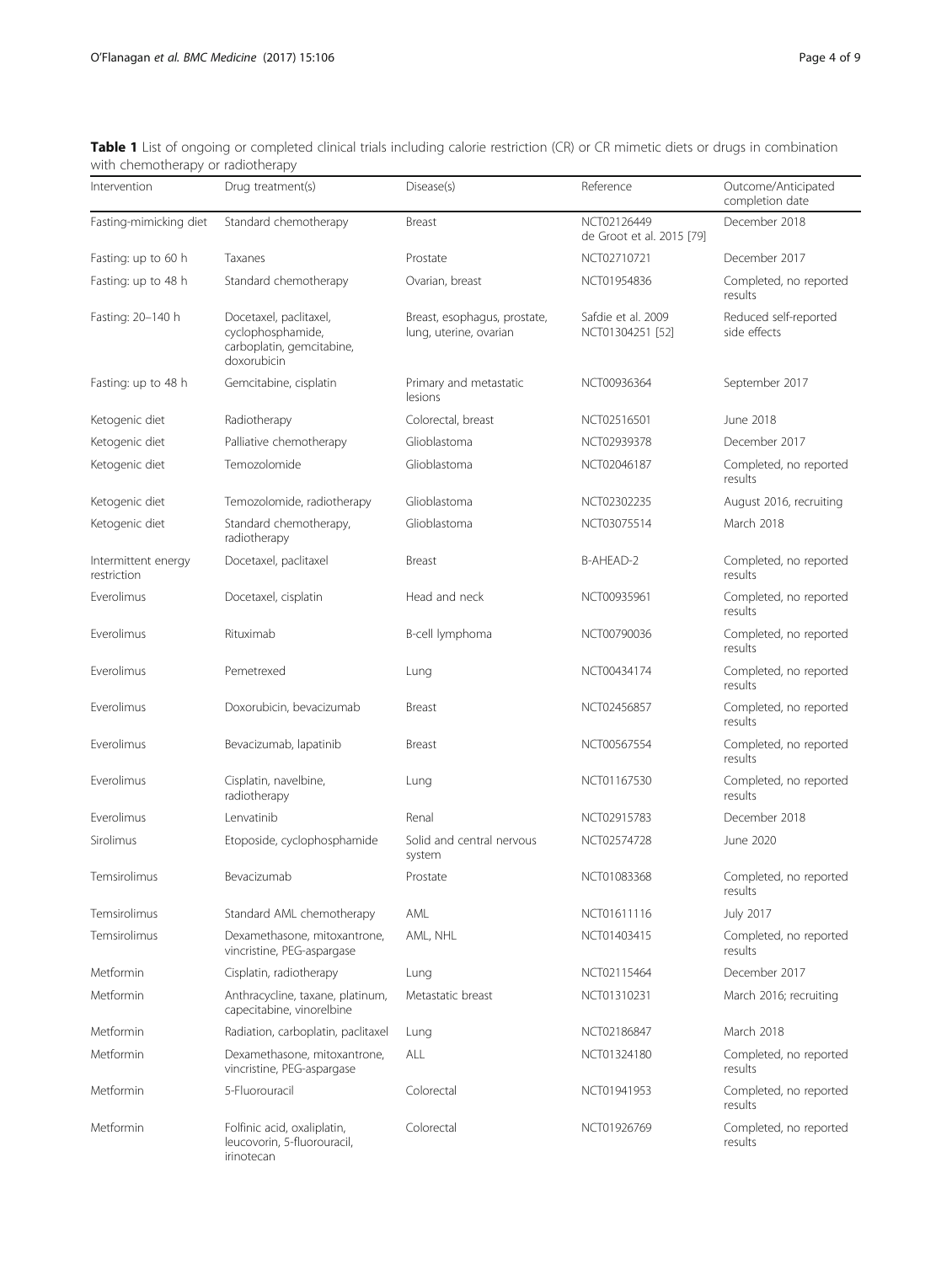<span id="page-3-0"></span>

| Table 1 List of ongoing or completed clinical trials including calorie restriction (CR) or CR mimetic diets or drugs in combination |  |  |
|-------------------------------------------------------------------------------------------------------------------------------------|--|--|
| with chemotherapy or radiotherapy                                                                                                   |  |  |

| Intervention                       | Drug treatment(s)                                                                       | Disease(s)                                             | Reference                                | Outcome/Anticipated<br>completion date |
|------------------------------------|-----------------------------------------------------------------------------------------|--------------------------------------------------------|------------------------------------------|----------------------------------------|
| Fasting-mimicking diet             | Standard chemotherapy                                                                   | Breast                                                 | NCT02126449<br>de Groot et al. 2015 [79] | December 2018                          |
| Fasting: up to 60 h                | Taxanes                                                                                 | Prostate                                               | NCT02710721                              | December 2017                          |
| Fasting: up to 48 h                | Standard chemotherapy                                                                   | Ovarian, breast                                        | NCT01954836                              | Completed, no reported<br>results      |
| Fasting: 20-140 h                  | Docetaxel, paclitaxel,<br>cyclophosphamide,<br>carboplatin, gemcitabine,<br>doxorubicin | Breast, esophagus, prostate,<br>lung, uterine, ovarian | Safdie et al. 2009<br>NCT01304251 [52]   | Reduced self-reported<br>side effects  |
| Fasting: up to 48 h                | Gemcitabine, cisplatin                                                                  | Primary and metastatic<br>lesions                      | NCT00936364                              | September 2017                         |
| Ketogenic diet                     | Radiotherapy                                                                            | Colorectal, breast                                     | NCT02516501                              | June 2018                              |
| Ketogenic diet                     | Palliative chemotherapy                                                                 | Glioblastoma                                           | NCT02939378                              | December 2017                          |
| Ketogenic diet                     | Temozolomide                                                                            | Glioblastoma                                           | NCT02046187                              | Completed, no reported<br>results      |
| Ketogenic diet                     | Temozolomide, radiotherapy                                                              | Glioblastoma                                           | NCT02302235                              | August 2016, recruiting                |
| Ketogenic diet                     | Standard chemotherapy,<br>radiotherapy                                                  | Glioblastoma                                           | NCT03075514                              | March 2018                             |
| Intermittent energy<br>restriction | Docetaxel, paclitaxel                                                                   | Breast                                                 | B-AHFAD-2                                | Completed, no reported<br>results      |
| Everolimus                         | Docetaxel, cisplatin                                                                    | Head and neck                                          | NCT00935961                              | Completed, no reported<br>results      |
| Everolimus                         | Rituximab                                                                               | B-cell lymphoma                                        | NCT00790036                              | Completed, no reported<br>results      |
| Everolimus                         | Pemetrexed                                                                              | Lung                                                   | NCT00434174                              | Completed, no reported<br>results      |
| Everolimus                         | Doxorubicin, bevacizumab                                                                | <b>Breast</b>                                          | NCT02456857                              | Completed, no reported<br>results      |
| Everolimus                         | Bevacizumab, lapatinib                                                                  | Breast                                                 | NCT00567554                              | Completed, no reported<br>results      |
| Everolimus                         | Cisplatin, navelbine,<br>radiotherapy                                                   | Lung                                                   | NCT01167530                              | Completed, no reported<br>results      |
| Everolimus                         | Lenvatinib                                                                              | Renal                                                  | NCT02915783                              | December 2018                          |
| Sirolimus                          | Etoposide, cyclophosphamide                                                             | Solid and central nervous<br>system                    | NCT02574728                              | June 2020                              |
| Temsirolimus                       | Bevacizumab                                                                             | Prostate                                               | NCT01083368                              | Completed, no reported<br>results      |
| Temsirolimus                       | Standard AML chemotherapy                                                               | AML                                                    | NCT01611116                              | <b>July 2017</b>                       |
| Temsirolimus                       | Dexamethasone, mitoxantrone,<br>vincristine, PEG-aspargase                              | AML, NHL                                               | NCT01403415                              | Completed, no reported<br>results      |
| Metformin                          | Cisplatin, radiotherapy                                                                 | Lung                                                   | NCT02115464                              | December 2017                          |
| Metformin                          | Anthracycline, taxane, platinum,<br>capecitabine, vinorelbine                           | Metastatic breast                                      | NCT01310231                              | March 2016; recruiting                 |
| Metformin                          | Radiation, carboplatin, paclitaxel                                                      | Lung                                                   | NCT02186847                              | March 2018                             |
| Metformin                          | Dexamethasone, mitoxantrone,<br>vincristine, PEG-aspargase                              | ALL                                                    | NCT01324180                              | Completed, no reported<br>results      |
| Metformin                          | 5-Fluorouracil                                                                          | Colorectal                                             | NCT01941953                              | Completed, no reported<br>results      |
| Metformin                          | Folfinic acid, oxaliplatin,<br>leucovorin, 5-fluorouracil,<br>irinotecan                | Colorectal                                             | NCT01926769                              | Completed, no reported<br>results      |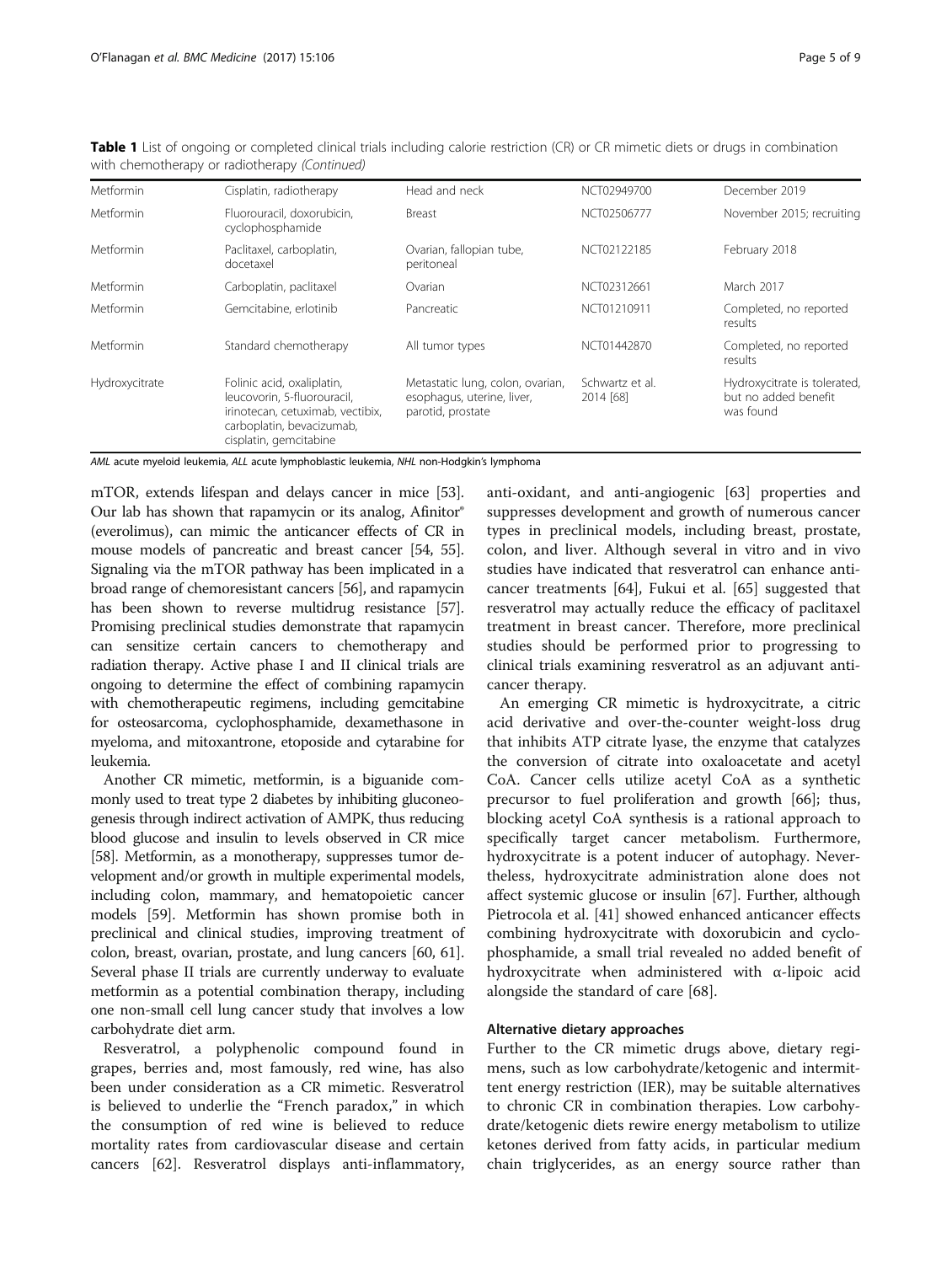| <b>Metformin</b> | Cisplatin, radiotherapy                                                                                                                              | Head and neck                                                                       | NCT02949700                  | December 2019                                                     |
|------------------|------------------------------------------------------------------------------------------------------------------------------------------------------|-------------------------------------------------------------------------------------|------------------------------|-------------------------------------------------------------------|
| Metformin        | Fluorouracil, doxorubicin,<br>cyclophosphamide                                                                                                       | Breast                                                                              | NCT02506777                  | November 2015; recruiting                                         |
| Metformin        | Paclitaxel, carboplatin,<br>docetaxel                                                                                                                | Ovarian, fallopian tube,<br>peritoneal                                              | NCT02122185                  | February 2018                                                     |
| Metformin        | Carboplatin, paclitaxel                                                                                                                              | Ovarian                                                                             | NCT02312661                  | March 2017                                                        |
| Metformin        | Gemcitabine, erlotinib                                                                                                                               | Pancreatic                                                                          | NCT01210911                  | Completed, no reported<br>results                                 |
| Metformin        | Standard chemotherapy                                                                                                                                | All tumor types                                                                     | NCT01442870                  | Completed, no reported<br>results                                 |
| Hydroxycitrate   | Folinic acid, oxaliplatin,<br>leucovorin, 5-fluorouracil,<br>irinotecan, cetuximab, vectibix,<br>carboplatin, bevacizumab,<br>cisplatin, gemcitabine | Metastatic lung, colon, ovarian,<br>esophagus, uterine, liver,<br>parotid, prostate | Schwartz et al.<br>2014 [68] | Hydroxycitrate is tolerated,<br>but no added benefit<br>was found |

Table 1 List of ongoing or completed clinical trials including calorie restriction (CR) or CR mimetic diets or drugs in combination with chemotherapy or radiotherapy (Continued)

AML acute myeloid leukemia, ALL acute lymphoblastic leukemia, NHL non-Hodgkin's lymphoma

mTOR, extends lifespan and delays cancer in mice [[53](#page-7-0)]. Our lab has shown that rapamycin or its analog, Afinitor® (everolimus), can mimic the anticancer effects of CR in mouse models of pancreatic and breast cancer [[54](#page-7-0), [55](#page-7-0)]. Signaling via the mTOR pathway has been implicated in a broad range of chemoresistant cancers [[56](#page-7-0)], and rapamycin has been shown to reverse multidrug resistance [[57](#page-7-0)]. Promising preclinical studies demonstrate that rapamycin can sensitize certain cancers to chemotherapy and radiation therapy. Active phase I and II clinical trials are ongoing to determine the effect of combining rapamycin with chemotherapeutic regimens, including gemcitabine for osteosarcoma, cyclophosphamide, dexamethasone in myeloma, and mitoxantrone, etoposide and cytarabine for leukemia.

Another CR mimetic, metformin, is a biguanide commonly used to treat type 2 diabetes by inhibiting gluconeogenesis through indirect activation of AMPK, thus reducing blood glucose and insulin to levels observed in CR mice [[58](#page-7-0)]. Metformin, as a monotherapy, suppresses tumor development and/or growth in multiple experimental models, including colon, mammary, and hematopoietic cancer models [\[59\]](#page-7-0). Metformin has shown promise both in preclinical and clinical studies, improving treatment of colon, breast, ovarian, prostate, and lung cancers [[60](#page-7-0), [61](#page-7-0)]. Several phase II trials are currently underway to evaluate metformin as a potential combination therapy, including one non-small cell lung cancer study that involves a low carbohydrate diet arm.

Resveratrol, a polyphenolic compound found in grapes, berries and, most famously, red wine, has also been under consideration as a CR mimetic. Resveratrol is believed to underlie the "French paradox," in which the consumption of red wine is believed to reduce mortality rates from cardiovascular disease and certain cancers [\[62](#page-7-0)]. Resveratrol displays anti-inflammatory, anti-oxidant, and anti-angiogenic [[63\]](#page-7-0) properties and suppresses development and growth of numerous cancer types in preclinical models, including breast, prostate, colon, and liver. Although several in vitro and in vivo studies have indicated that resveratrol can enhance anticancer treatments [[64\]](#page-7-0), Fukui et al. [[65\]](#page-7-0) suggested that resveratrol may actually reduce the efficacy of paclitaxel treatment in breast cancer. Therefore, more preclinical studies should be performed prior to progressing to clinical trials examining resveratrol as an adjuvant anticancer therapy.

An emerging CR mimetic is hydroxycitrate, a citric acid derivative and over-the-counter weight-loss drug that inhibits ATP citrate lyase, the enzyme that catalyzes the conversion of citrate into oxaloacetate and acetyl CoA. Cancer cells utilize acetyl CoA as a synthetic precursor to fuel proliferation and growth [\[66\]](#page-7-0); thus, blocking acetyl CoA synthesis is a rational approach to specifically target cancer metabolism. Furthermore, hydroxycitrate is a potent inducer of autophagy. Nevertheless, hydroxycitrate administration alone does not affect systemic glucose or insulin [[67](#page-7-0)]. Further, although Pietrocola et al. [[41\]](#page-7-0) showed enhanced anticancer effects combining hydroxycitrate with doxorubicin and cyclophosphamide, a small trial revealed no added benefit of hydroxycitrate when administered with α-lipoic acid alongside the standard of care [[68\]](#page-7-0).

## Alternative dietary approaches

Further to the CR mimetic drugs above, dietary regimens, such as low carbohydrate/ketogenic and intermittent energy restriction (IER), may be suitable alternatives to chronic CR in combination therapies. Low carbohydrate/ketogenic diets rewire energy metabolism to utilize ketones derived from fatty acids, in particular medium chain triglycerides, as an energy source rather than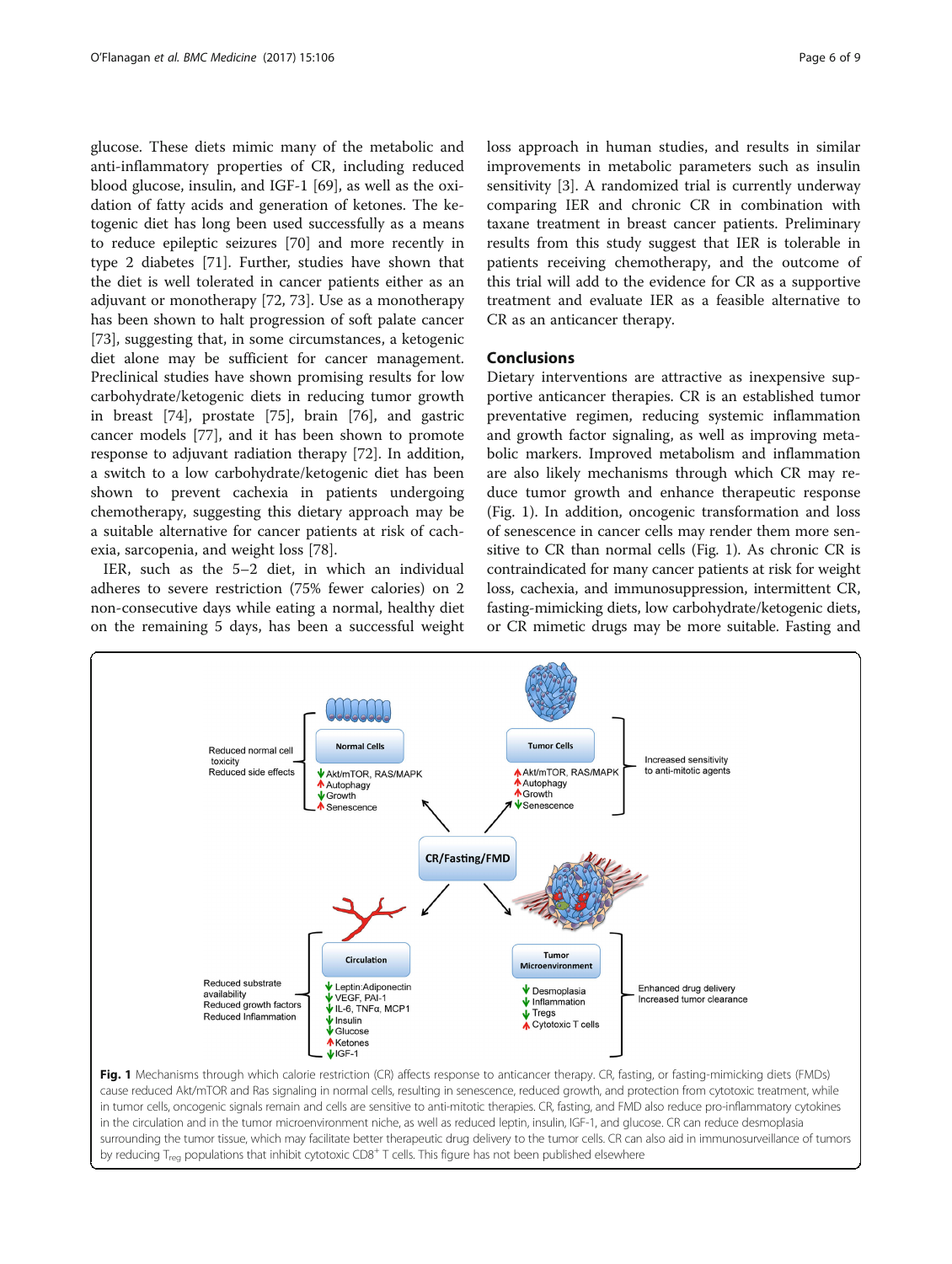glucose. These diets mimic many of the metabolic and anti-inflammatory properties of CR, including reduced blood glucose, insulin, and IGF-1 [[69\]](#page-7-0), as well as the oxidation of fatty acids and generation of ketones. The ketogenic diet has long been used successfully as a means to reduce epileptic seizures [\[70](#page-7-0)] and more recently in type 2 diabetes [[71](#page-8-0)]. Further, studies have shown that the diet is well tolerated in cancer patients either as an adjuvant or monotherapy [[72](#page-8-0), [73](#page-8-0)]. Use as a monotherapy has been shown to halt progression of soft palate cancer [[73\]](#page-8-0), suggesting that, in some circumstances, a ketogenic diet alone may be sufficient for cancer management. Preclinical studies have shown promising results for low carbohydrate/ketogenic diets in reducing tumor growth in breast [\[74\]](#page-8-0), prostate [[75\]](#page-8-0), brain [[76\]](#page-8-0), and gastric cancer models [[77\]](#page-8-0), and it has been shown to promote response to adjuvant radiation therapy [[72\]](#page-8-0). In addition, a switch to a low carbohydrate/ketogenic diet has been shown to prevent cachexia in patients undergoing chemotherapy, suggesting this dietary approach may be a suitable alternative for cancer patients at risk of cachexia, sarcopenia, and weight loss [\[78\]](#page-8-0).

IER, such as the 5–2 diet, in which an individual adheres to severe restriction (75% fewer calories) on 2 non-consecutive days while eating a normal, healthy diet on the remaining 5 days, has been a successful weight loss approach in human studies, and results in similar improvements in metabolic parameters such as insulin sensitivity [[3\]](#page-6-0). A randomized trial is currently underway comparing IER and chronic CR in combination with taxane treatment in breast cancer patients. Preliminary results from this study suggest that IER is tolerable in patients receiving chemotherapy, and the outcome of this trial will add to the evidence for CR as a supportive treatment and evaluate IER as a feasible alternative to CR as an anticancer therapy.

## Conclusions

Dietary interventions are attractive as inexpensive supportive anticancer therapies. CR is an established tumor preventative regimen, reducing systemic inflammation and growth factor signaling, as well as improving metabolic markers. Improved metabolism and inflammation are also likely mechanisms through which CR may reduce tumor growth and enhance therapeutic response (Fig. 1). In addition, oncogenic transformation and loss of senescence in cancer cells may render them more sensitive to CR than normal cells (Fig. 1). As chronic CR is contraindicated for many cancer patients at risk for weight loss, cachexia, and immunosuppression, intermittent CR, fasting-mimicking diets, low carbohydrate/ketogenic diets, or CR mimetic drugs may be more suitable. Fasting and



Fig. 1 Mechanisms through which calorie restriction (CR) affects response to anticancer therapy. CR, fasting, or fasting-mimicking diets (FMDs) cause reduced Akt/mTOR and Ras signaling in normal cells, resulting in senescence, reduced growth, and protection from cytotoxic treatment, while in tumor cells, oncogenic signals remain and cells are sensitive to anti-mitotic therapies. CR, fasting, and FMD also reduce pro-inflammatory cytokines in the circulation and in the tumor microenvironment niche, as well as reduced leptin, insulin, IGF-1, and glucose. CR can reduce desmoplasia surrounding the tumor tissue, which may facilitate better therapeutic drug delivery to the tumor cells. CR can also aid in immunosurveillance of tumors by reducing T<sub>reg</sub> populations that inhibit cytotoxic CD8<sup>+</sup> T cells. This figure has not been published elsewhere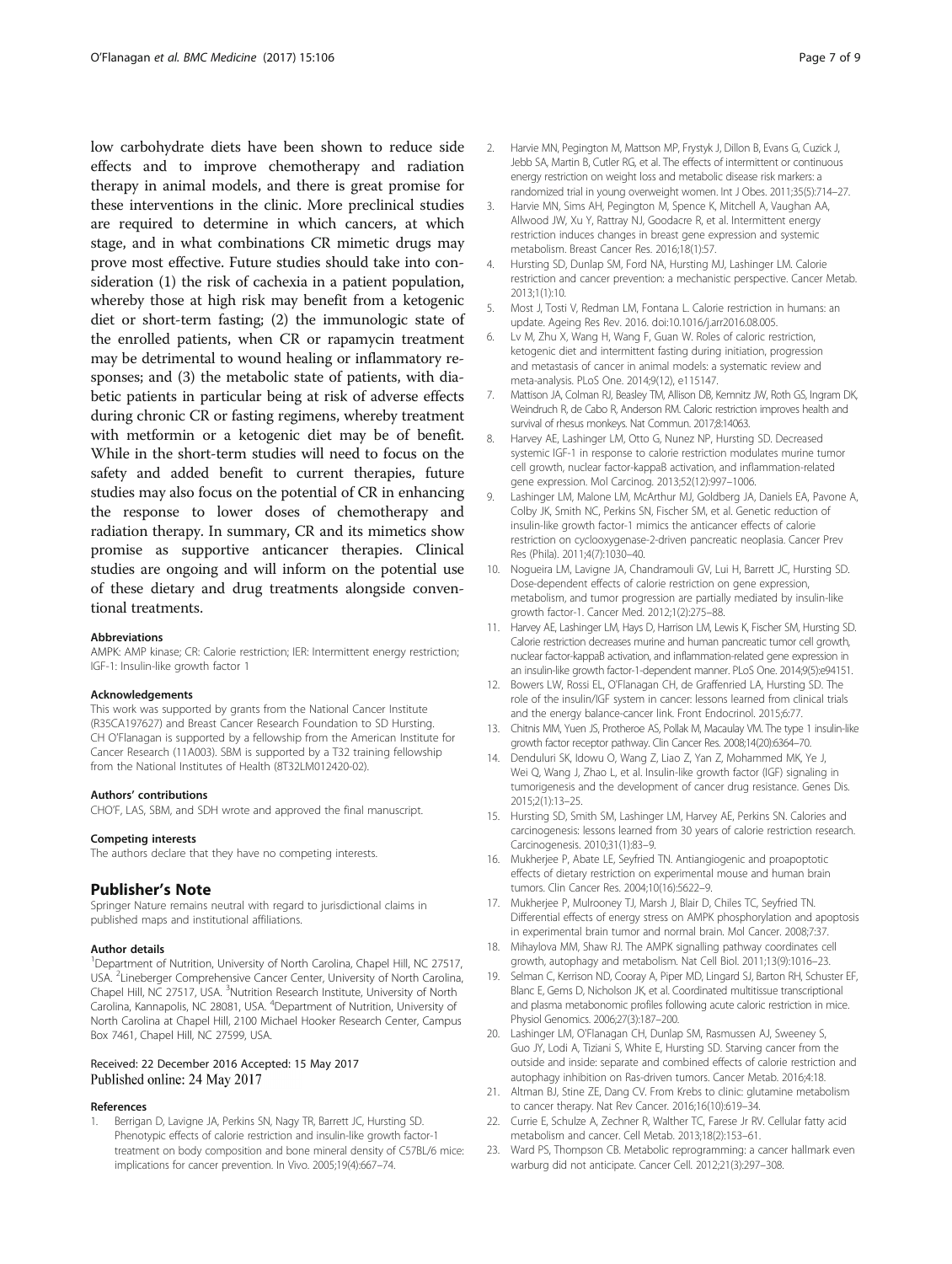<span id="page-6-0"></span>low carbohydrate diets have been shown to reduce side effects and to improve chemotherapy and radiation therapy in animal models, and there is great promise for these interventions in the clinic. More preclinical studies are required to determine in which cancers, at which stage, and in what combinations CR mimetic drugs may prove most effective. Future studies should take into consideration (1) the risk of cachexia in a patient population, whereby those at high risk may benefit from a ketogenic diet or short-term fasting; (2) the immunologic state of the enrolled patients, when CR or rapamycin treatment may be detrimental to wound healing or inflammatory responses; and (3) the metabolic state of patients, with diabetic patients in particular being at risk of adverse effects during chronic CR or fasting regimens, whereby treatment with metformin or a ketogenic diet may be of benefit. While in the short-term studies will need to focus on the safety and added benefit to current therapies, future studies may also focus on the potential of CR in enhancing the response to lower doses of chemotherapy and radiation therapy. In summary, CR and its mimetics show promise as supportive anticancer therapies. Clinical studies are ongoing and will inform on the potential use of these dietary and drug treatments alongside conventional treatments.

#### Abbreviations

AMPK: AMP kinase; CR: Calorie restriction; IER: Intermittent energy restriction; IGF-1: Insulin-like growth factor 1

#### Acknowledgements

This work was supported by grants from the National Cancer Institute (R35CA197627) and Breast Cancer Research Foundation to SD Hursting. CH O'Flanagan is supported by a fellowship from the American Institute for Cancer Research (11A003). SBM is supported by a T32 training fellowship from the National Institutes of Health (8T32LM012420-02).

#### Authors' contributions

CHO'F, LAS, SBM, and SDH wrote and approved the final manuscript.

#### Competing interests The authors declare that they have no competing interests.

#### Publisher's Note

Springer Nature remains neutral with regard to jurisdictional claims in published maps and institutional affiliations.

#### Author details

<sup>1</sup>Department of Nutrition, University of North Carolina, Chapel Hill, NC 27517, USA. <sup>2</sup> Lineberger Comprehensive Cancer Center, University of North Carolina, Chapel Hill, NC 27517, USA. <sup>3</sup>Nutrition Research Institute, University of North Carolina, Kannapolis, NC 28081, USA. <sup>4</sup>Department of Nutrition, University of North Carolina at Chapel Hill, 2100 Michael Hooker Research Center, Campus Box 7461, Chapel Hill, NC 27599, USA.

#### Received: 22 December 2016 Accepted: 15 May 2017 Published online: 24 May 2017

#### References

1. Berrigan D, Lavigne JA, Perkins SN, Nagy TR, Barrett JC, Hursting SD. Phenotypic effects of calorie restriction and insulin-like growth factor-1 treatment on body composition and bone mineral density of C57BL/6 mice: implications for cancer prevention. In Vivo. 2005;19(4):667–74.

- 2. Harvie MN, Pegington M, Mattson MP, Frystyk J, Dillon B, Evans G, Cuzick J, Jebb SA, Martin B, Cutler RG, et al. The effects of intermittent or continuous energy restriction on weight loss and metabolic disease risk markers: a randomized trial in young overweight women. Int J Obes. 2011;35(5):714–27.
- 3. Harvie MN, Sims AH, Pegington M, Spence K, Mitchell A, Vaughan AA, Allwood JW, Xu Y, Rattray NJ, Goodacre R, et al. Intermittent energy restriction induces changes in breast gene expression and systemic metabolism. Breast Cancer Res. 2016;18(1):57.
- 4. Hursting SD, Dunlap SM, Ford NA, Hursting MJ, Lashinger LM. Calorie restriction and cancer prevention: a mechanistic perspective. Cancer Metab. 2013;1(1):10.
- 5. Most J, Tosti V, Redman LM, Fontana L. Calorie restriction in humans: an update. Ageing Res Rev. 2016. doi[:10.1016/j.arr2016.08.005.](http://dx.doi.org/10.1016/j.arr2016.08.005)
- 6. Lv M, Zhu X, Wang H, Wang F, Guan W. Roles of caloric restriction, ketogenic diet and intermittent fasting during initiation, progression and metastasis of cancer in animal models: a systematic review and meta-analysis. PLoS One. 2014;9(12), e115147.
- 7. Mattison JA, Colman RJ, Beasley TM, Allison DB, Kemnitz JW, Roth GS, Ingram DK, Weindruch R, de Cabo R, Anderson RM. Caloric restriction improves health and survival of rhesus monkeys. Nat Commun. 2017;8:14063.
- 8. Harvey AE, Lashinger LM, Otto G, Nunez NP, Hursting SD. Decreased systemic IGF-1 in response to calorie restriction modulates murine tumor cell growth, nuclear factor-kappaB activation, and inflammation-related gene expression. Mol Carcinog. 2013;52(12):997–1006.
- 9. Lashinger LM, Malone LM, McArthur MJ, Goldberg JA, Daniels EA, Pavone A, Colby JK, Smith NC, Perkins SN, Fischer SM, et al. Genetic reduction of insulin-like growth factor-1 mimics the anticancer effects of calorie restriction on cyclooxygenase-2-driven pancreatic neoplasia. Cancer Prev Res (Phila). 2011;4(7):1030–40.
- 10. Nogueira LM, Lavigne JA, Chandramouli GV, Lui H, Barrett JC, Hursting SD. Dose-dependent effects of calorie restriction on gene expression, metabolism, and tumor progression are partially mediated by insulin-like growth factor-1. Cancer Med. 2012;1(2):275–88.
- 11. Harvey AE, Lashinger LM, Hays D, Harrison LM, Lewis K, Fischer SM, Hursting SD. Calorie restriction decreases murine and human pancreatic tumor cell growth, nuclear factor-kappaB activation, and inflammation-related gene expression in an insulin-like growth factor-1-dependent manner. PLoS One. 2014;9(5):e94151.
- 12. Bowers LW, Rossi EL, O'Flanagan CH, de Graffenried LA, Hursting SD. The role of the insulin/IGF system in cancer: lessons learned from clinical trials and the energy balance-cancer link. Front Endocrinol. 2015;6:77.
- 13. Chitnis MM, Yuen JS, Protheroe AS, Pollak M, Macaulay VM. The type 1 insulin-like growth factor receptor pathway. Clin Cancer Res. 2008;14(20):6364–70.
- 14. Denduluri SK, Idowu O, Wang Z, Liao Z, Yan Z, Mohammed MK, Ye J, Wei Q, Wang J, Zhao L, et al. Insulin-like growth factor (IGF) signaling in tumorigenesis and the development of cancer drug resistance. Genes Dis. 2015;2(1):13–25.
- 15. Hursting SD, Smith SM, Lashinger LM, Harvey AE, Perkins SN. Calories and carcinogenesis: lessons learned from 30 years of calorie restriction research. Carcinogenesis. 2010;31(1):83–9.
- 16. Mukherjee P, Abate LE, Seyfried TN. Antiangiogenic and proapoptotic effects of dietary restriction on experimental mouse and human brain tumors. Clin Cancer Res. 2004;10(16):5622–9.
- 17. Mukherjee P, Mulrooney TJ, Marsh J, Blair D, Chiles TC, Seyfried TN. Differential effects of energy stress on AMPK phosphorylation and apoptosis in experimental brain tumor and normal brain. Mol Cancer. 2008;7:37.
- 18. Mihaylova MM, Shaw RJ. The AMPK signalling pathway coordinates cell growth, autophagy and metabolism. Nat Cell Biol. 2011;13(9):1016–23.
- 19. Selman C, Kerrison ND, Cooray A, Piper MD, Lingard SJ, Barton RH, Schuster EF, Blanc E, Gems D, Nicholson JK, et al. Coordinated multitissue transcriptional and plasma metabonomic profiles following acute caloric restriction in mice. Physiol Genomics. 2006;27(3):187–200.
- 20. Lashinger LM, O'Flanagan CH, Dunlap SM, Rasmussen AJ, Sweeney S, Guo JY, Lodi A, Tiziani S, White E, Hursting SD. Starving cancer from the outside and inside: separate and combined effects of calorie restriction and autophagy inhibition on Ras-driven tumors. Cancer Metab. 2016;4:18.
- 21. Altman BJ, Stine ZE, Dang CV. From Krebs to clinic: glutamine metabolism to cancer therapy. Nat Rev Cancer. 2016;16(10):619–34.
- 22. Currie E, Schulze A, Zechner R, Walther TC, Farese Jr RV. Cellular fatty acid metabolism and cancer. Cell Metab. 2013;18(2):153–61.
- 23. Ward PS, Thompson CB. Metabolic reprogramming: a cancer hallmark even warburg did not anticipate. Cancer Cell. 2012;21(3):297–308.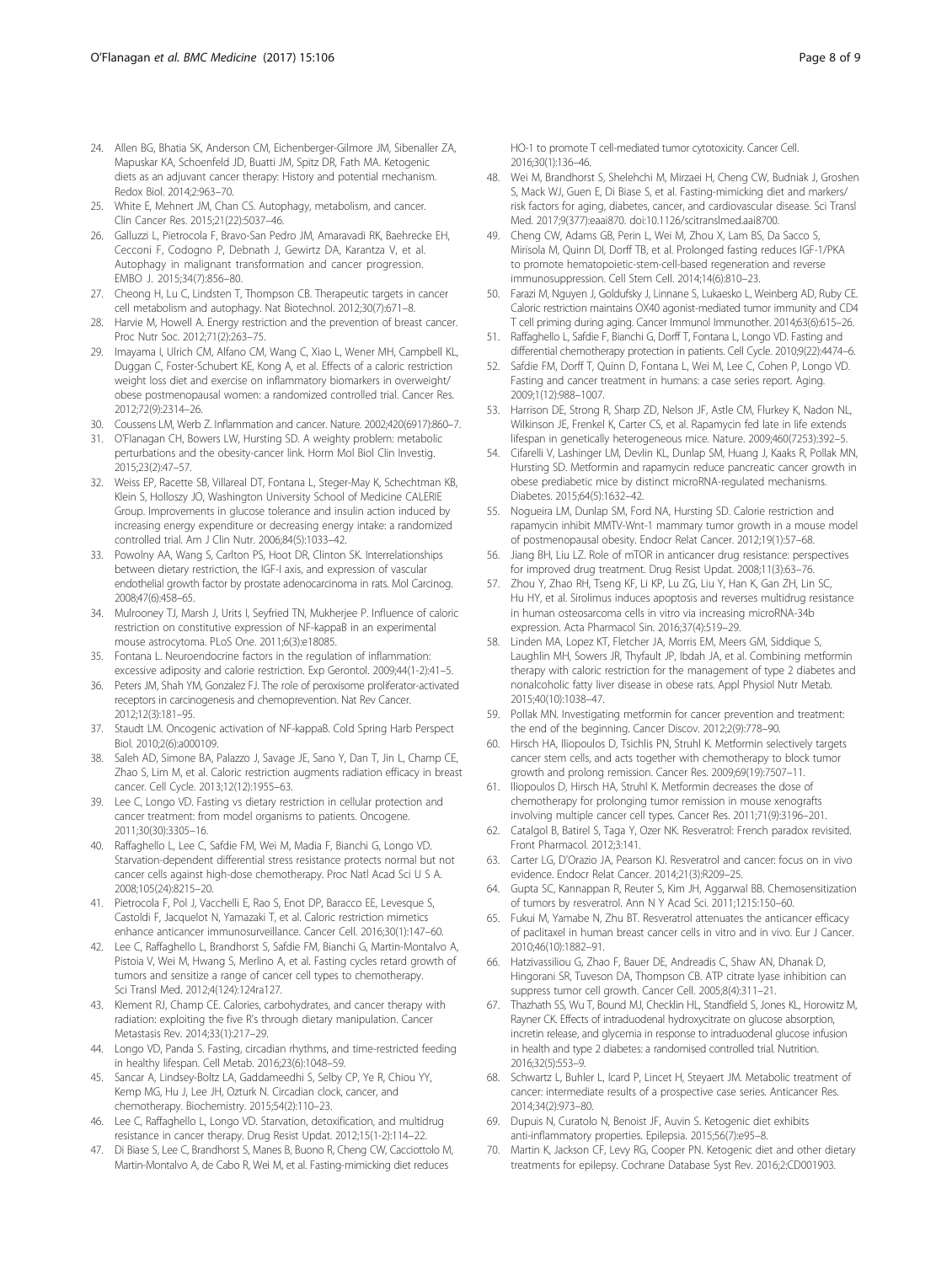- <span id="page-7-0"></span>24. Allen BG, Bhatia SK, Anderson CM, Eichenberger-Gilmore JM, Sibenaller ZA, Mapuskar KA, Schoenfeld JD, Buatti JM, Spitz DR, Fath MA. Ketogenic diets as an adjuvant cancer therapy: History and potential mechanism. Redox Biol. 2014;2:963–70.
- 25. White E, Mehnert JM, Chan CS. Autophagy, metabolism, and cancer. Clin Cancer Res. 2015;21(22):5037–46.
- 26. Galluzzi L, Pietrocola F, Bravo-San Pedro JM, Amaravadi RK, Baehrecke EH, Cecconi F, Codogno P, Debnath J, Gewirtz DA, Karantza V, et al. Autophagy in malignant transformation and cancer progression. EMBO J. 2015;34(7):856–80.
- 27. Cheong H, Lu C, Lindsten T, Thompson CB. Therapeutic targets in cancer cell metabolism and autophagy. Nat Biotechnol. 2012;30(7):671–8.
- 28. Harvie M, Howell A. Energy restriction and the prevention of breast cancer. Proc Nutr Soc. 2012;71(2):263–75.
- 29. Imayama I, Ulrich CM, Alfano CM, Wang C, Xiao L, Wener MH, Campbell KL, Duggan C, Foster-Schubert KE, Kong A, et al. Effects of a caloric restriction weight loss diet and exercise on inflammatory biomarkers in overweight/ obese postmenopausal women: a randomized controlled trial. Cancer Res. 2012;72(9):2314–26.
- 30. Coussens LM, Werb Z. Inflammation and cancer. Nature. 2002;420(6917):860–7.
- 31. O'Flanagan CH, Bowers LW, Hursting SD. A weighty problem: metabolic perturbations and the obesity-cancer link. Horm Mol Biol Clin Investig. 2015;23(2):47–57.
- 32. Weiss EP, Racette SB, Villareal DT, Fontana L, Steger-May K, Schechtman KB, Klein S, Holloszy JO, Washington University School of Medicine CALERIE Group. Improvements in glucose tolerance and insulin action induced by increasing energy expenditure or decreasing energy intake: a randomized controlled trial. Am J Clin Nutr. 2006;84(5):1033–42.
- 33. Powolny AA, Wang S, Carlton PS, Hoot DR, Clinton SK. Interrelationships between dietary restriction, the IGF-I axis, and expression of vascular endothelial growth factor by prostate adenocarcinoma in rats. Mol Carcinog. 2008;47(6):458–65.
- 34. Mulrooney TJ, Marsh J, Urits I, Seyfried TN, Mukherjee P. Influence of caloric restriction on constitutive expression of NF-kappaB in an experimental mouse astrocytoma. PLoS One. 2011;6(3):e18085.
- 35. Fontana L. Neuroendocrine factors in the regulation of inflammation: excessive adiposity and calorie restriction. Exp Gerontol. 2009;44(1-2):41–5.
- 36. Peters JM, Shah YM, Gonzalez FJ. The role of peroxisome proliferator-activated receptors in carcinogenesis and chemoprevention. Nat Rev Cancer. 2012;12(3):181–95.
- 37. Staudt LM. Oncogenic activation of NF-kappaB. Cold Spring Harb Perspect Biol. 2010;2(6):a000109.
- 38. Saleh AD, Simone BA, Palazzo J, Savage JE, Sano Y, Dan T, Jin L, Champ CE, Zhao S, Lim M, et al. Caloric restriction augments radiation efficacy in breast cancer. Cell Cycle. 2013;12(12):1955–63.
- 39. Lee C, Longo VD. Fasting vs dietary restriction in cellular protection and cancer treatment: from model organisms to patients. Oncogene. 2011;30(30):3305–16.
- 40. Raffaghello L, Lee C, Safdie FM, Wei M, Madia F, Bianchi G, Longo VD. Starvation-dependent differential stress resistance protects normal but not cancer cells against high-dose chemotherapy. Proc Natl Acad Sci U S A. 2008;105(24):8215–20.
- 41. Pietrocola F, Pol J, Vacchelli E, Rao S, Enot DP, Baracco EE, Levesque S, Castoldi F, Jacquelot N, Yamazaki T, et al. Caloric restriction mimetics enhance anticancer immunosurveillance. Cancer Cell. 2016;30(1):147–60.
- 42. Lee C, Raffaghello L, Brandhorst S, Safdie FM, Bianchi G, Martin-Montalvo A, Pistoia V, Wei M, Hwang S, Merlino A, et al. Fasting cycles retard growth of tumors and sensitize a range of cancer cell types to chemotherapy. Sci Transl Med. 2012;4(124):124ra127.
- 43. Klement RJ, Champ CE. Calories, carbohydrates, and cancer therapy with radiation: exploiting the five R's through dietary manipulation. Cancer Metastasis Rev. 2014;33(1):217–29.
- 44. Longo VD, Panda S. Fasting, circadian rhythms, and time-restricted feeding in healthy lifespan. Cell Metab. 2016;23(6):1048–59.
- 45. Sancar A, Lindsey-Boltz LA, Gaddameedhi S, Selby CP, Ye R, Chiou YY, Kemp MG, Hu J, Lee JH, Ozturk N. Circadian clock, cancer, and chemotherapy. Biochemistry. 2015;54(2):110–23.
- 46. Lee C, Raffaghello L, Longo VD. Starvation, detoxification, and multidrug resistance in cancer therapy. Drug Resist Updat. 2012;15(1-2):114–22.
- 47. Di Biase S, Lee C, Brandhorst S, Manes B, Buono R, Cheng CW, Cacciottolo M, Martin-Montalvo A, de Cabo R, Wei M, et al. Fasting-mimicking diet reduces

HO-1 to promote T cell-mediated tumor cytotoxicity. Cancer Cell. 2016;30(1):136–46.

- 48. Wei M, Brandhorst S, Shelehchi M, Mirzaei H, Cheng CW, Budniak J, Groshen S, Mack WJ, Guen E, Di Biase S, et al. Fasting-mimicking diet and markers/ risk factors for aging, diabetes, cancer, and cardiovascular disease. Sci Transl Med. 2017;9(377):eaai870. doi[:10.1126/scitranslmed.aai8700.](http://dx.doi.org/10.1126/scitranslmed.aai8700)
- 49. Cheng CW, Adams GB, Perin L, Wei M, Zhou X, Lam BS, Da Sacco S, Mirisola M, Quinn DI, Dorff TB, et al. Prolonged fasting reduces IGF-1/PKA to promote hematopoietic-stem-cell-based regeneration and reverse immunosuppression. Cell Stem Cell. 2014;14(6):810–23.
- 50. Farazi M, Nguyen J, Goldufsky J, Linnane S, Lukaesko L, Weinberg AD, Ruby CE. Caloric restriction maintains OX40 agonist-mediated tumor immunity and CD4 T cell priming during aging. Cancer Immunol Immunother. 2014;63(6):615–26.
- 51. Raffaghello L, Safdie F, Bianchi G, Dorff T, Fontana L, Longo VD. Fasting and differential chemotherapy protection in patients. Cell Cycle. 2010;9(22):4474–6.
- 52. Safdie FM, Dorff T, Quinn D, Fontana L, Wei M, Lee C, Cohen P, Longo VD. Fasting and cancer treatment in humans: a case series report. Aging. 2009;1(12):988–1007.
- 53. Harrison DE, Strong R, Sharp ZD, Nelson JF, Astle CM, Flurkey K, Nadon NL, Wilkinson JE, Frenkel K, Carter CS, et al. Rapamycin fed late in life extends lifespan in genetically heterogeneous mice. Nature. 2009;460(7253):392–5.
- 54. Cifarelli V, Lashinger LM, Devlin KL, Dunlap SM, Huang J, Kaaks R, Pollak MN, Hursting SD. Metformin and rapamycin reduce pancreatic cancer growth in obese prediabetic mice by distinct microRNA-regulated mechanisms. Diabetes. 2015;64(5):1632–42.
- 55. Nogueira LM, Dunlap SM, Ford NA, Hursting SD. Calorie restriction and rapamycin inhibit MMTV-Wnt-1 mammary tumor growth in a mouse model of postmenopausal obesity. Endocr Relat Cancer. 2012;19(1):57–68.
- Jiang BH, Liu LZ. Role of mTOR in anticancer drug resistance: perspectives for improved drug treatment. Drug Resist Updat. 2008;11(3):63–76.
- 57. Zhou Y, Zhao RH, Tseng KF, Li KP, Lu ZG, Liu Y, Han K, Gan ZH, Lin SC, Hu HY, et al. Sirolimus induces apoptosis and reverses multidrug resistance in human osteosarcoma cells in vitro via increasing microRNA-34b expression. Acta Pharmacol Sin. 2016;37(4):519–29.
- 58. Linden MA, Lopez KT, Fletcher JA, Morris EM, Meers GM, Siddique S, Laughlin MH, Sowers JR, Thyfault JP, Ibdah JA, et al. Combining metformin therapy with caloric restriction for the management of type 2 diabetes and nonalcoholic fatty liver disease in obese rats. Appl Physiol Nutr Metab. 2015;40(10):1038–47.
- 59. Pollak MN. Investigating metformin for cancer prevention and treatment: the end of the beginning. Cancer Discov. 2012;2(9):778–90.
- 60. Hirsch HA, Iliopoulos D, Tsichlis PN, Struhl K. Metformin selectively targets cancer stem cells, and acts together with chemotherapy to block tumor growth and prolong remission. Cancer Res. 2009;69(19):7507–11.
- 61. Iliopoulos D, Hirsch HA, Struhl K. Metformin decreases the dose of chemotherapy for prolonging tumor remission in mouse xenografts involving multiple cancer cell types. Cancer Res. 2011;71(9):3196–201.
- 62. Catalgol B, Batirel S, Taga Y, Ozer NK. Resveratrol: French paradox revisited. Front Pharmacol. 2012;3:141.
- 63. Carter LG, D'Orazio JA, Pearson KJ. Resveratrol and cancer: focus on in vivo evidence. Endocr Relat Cancer. 2014;21(3):R209–25.
- 64. Gupta SC, Kannappan R, Reuter S, Kim JH, Aggarwal BB. Chemosensitization of tumors by resveratrol. Ann N Y Acad Sci. 2011;1215:150–60.
- 65. Fukui M, Yamabe N, Zhu BT. Resveratrol attenuates the anticancer efficacy of paclitaxel in human breast cancer cells in vitro and in vivo. Eur J Cancer. 2010;46(10):1882–91.
- 66. Hatzivassiliou G, Zhao F, Bauer DE, Andreadis C, Shaw AN, Dhanak D, Hingorani SR, Tuveson DA, Thompson CB. ATP citrate lyase inhibition can suppress tumor cell growth. Cancer Cell. 2005;8(4):311–21.
- 67. Thazhath SS, Wu T, Bound MJ, Checklin HL, Standfield S, Jones KL, Horowitz M, Rayner CK. Effects of intraduodenal hydroxycitrate on glucose absorption, incretin release, and glycemia in response to intraduodenal glucose infusion in health and type 2 diabetes: a randomised controlled trial. Nutrition. 2016;32(5):553–9.
- 68. Schwartz L, Buhler L, Icard P, Lincet H, Steyaert JM. Metabolic treatment of cancer: intermediate results of a prospective case series. Anticancer Res. 2014;34(2):973–80.
- 69. Dupuis N, Curatolo N, Benoist JF, Auvin S. Ketogenic diet exhibits anti-inflammatory properties. Epilepsia. 2015;56(7):e95–8.
- 70. Martin K, Jackson CF, Levy RG, Cooper PN. Ketogenic diet and other dietary treatments for epilepsy. Cochrane Database Syst Rev. 2016;2:CD001903.